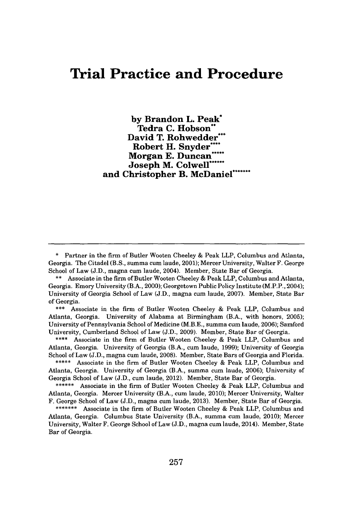# **Trial Practice and Procedure**

**by Brandon L. Peak\* Tedra C. Hobson"** David T. Rohwedder Robert H. Snyder\*\* Morgan E. Duncan<sup>\*</sup> **Joseph M. Colwell\*** and Christopher B. McDaniel<sup>\*</sup>

\* Partner in the firm of Butler Wooten Cheeley **&** Peak LLP, Columbus and Atlanta, Georgia. The Citadel (B.S., summa cum laude, 2001); Mercer University, Walter F. George School of Law **(J.D.,** magna cum laude, 2004). Member, State Bar of Georgia.

**\*\*\*** Associate in the firm of Butler Wooten Cheeley **&** Peak LLP, Columbus and Atlanta, Georgia. University of Alabama at Birmingham (B.A., with honors, **2005);** University of Pennsylvania School of Medicine (M.B.E., summa cum laude, **2006);** Samford University, Cumberland School of Law **(J.D., 2009).** Member, State Bar of Georgia.

**\*\*\*\*** Associate in the firm of Butler Wooten Cheeley **&** Peak LLP, Columbus and Atlanta, Georgia. University of Georgia (B.A., cum laude, **1999);** University of Georgia School of Law **(J.D.,** magna cum laude, **2008).** Member, State Bars of Georgia and Florida.

**\*\*\*\*\*** Associate in the firm of Butler Wooten Cheeley **&** Peak LLP, Columbus and Atlanta, Georgia. University of Georgia (B.A., summa cum laude, **2006);** University of Georgia School of Law **(J.D.,** cum laude, 2012). Member, State Bar of Georgia.

**\*\*\*\*\*\*** Associate in the firm of Butler Wooten Cheeley **&** Peak LLP, Columbus and Atlanta, Georgia. Mercer University (B.A., cum laude, 2010); Mercer University, Walter F. George School of Law **(J.D.,** magna cum laude, **2013).** Member, State Bar of Georgia.

**\*\*\*\*\*\*\*** Associate in the firm of Butler Wooten Cheeley **&** Peak LLP, Columbus and Atlanta, Georgia. Columbus State University (B.A., summa cum laude, 2010); Mercer University, Walter F. George School of Law **(J.D.,** magna cum laude, 2014). Member, State Bar of Georgia.

**<sup>\*\*</sup>** Associate in the firm of Butler Wooten Cheeley **&** Peak LLP, Columbus and Atlanta, Georgia. Emory University (B.A., 2000); Georgetown Public Policy Institute (M.P.P., 2004); University of Georgia School of Law **(J.D.,** magna cum laude, **2007).** Member, State Bar of Georgia.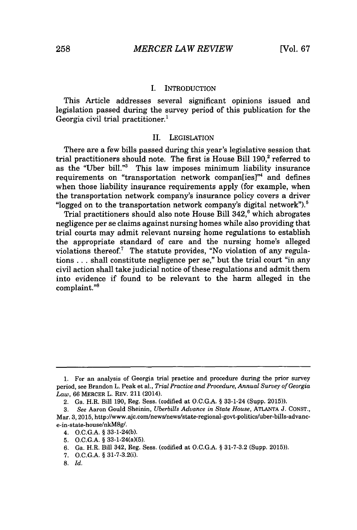### I. INTRODUCTION

This Article addresses several significant opinions issued and legislation passed during the survey period of this publication for the Georgia civil trial practitioner.'

### II. **LEGISLATION**

There are a few bills passed during this year's legislative session that trial practitioners should note. The first is House Bill 190,<sup>2</sup> referred to as the "Uber bill."3 This law imposes minimum liability insurance requirements on "transportation network compan[ies]"4 and defines when those liability insurance requirements apply (for example, when the transportation network company's insurance policy covers a driver "logged on to the transportation network company's digital network"). $5$ 

Trial practitioners should also note House Bill 342,<sup>6</sup> which abrogates negligence per se claims against nursing homes while also providing that trial courts may admit relevant nursing home regulations to establish the appropriate standard of care and the nursing home's alleged violations thereof.7 The statute provides, "No violation of any regulations **. . .** shall constitute negligence per se," but the trial court "in any civil action shall take judicial notice of these regulations and admit them into evidence if found to be relevant to the harm alleged in the complaint."<sup>8</sup>

**<sup>1.</sup>** For an analysis of Georgia trial practice and procedure during the prior survey period, see Brandon L. Peak et al., *Trial Practice and Procedure, Annual Survey of Georgia Law,* **66** MERCER L. REV. 211 (2014).

<sup>2.</sup> Ga. H.R. Bill **190,** Reg. Sess. (codified at **O.C.G.A. §** 33-1-24 (Supp. **2015)).**

*<sup>3.</sup> See* Aaron Gould Sheinin, *Uberbills Advance in State House,* **ATLANTA J. CONST.,** Mar. **3, 2015,** http://www.ajc.com/news/news/state-regional-govt-politics/uber-bills-advance-in-state-house/nkM8g/.

<sup>4.</sup> **O.C.G.A. § 33-1-24(b).**

**<sup>5.</sup> O.C.G.A. §** 33-1-24(a)(5).

**<sup>6.</sup>** Ga. H.R. Bill 342, Reg. Sess. (codified at **O.C.G.A. § 31-7-3.2** (Supp. **2015)).**

**<sup>7.</sup> O.C.G.A. §** 31-7-3.2(i).

**<sup>8.</sup>** *Id.*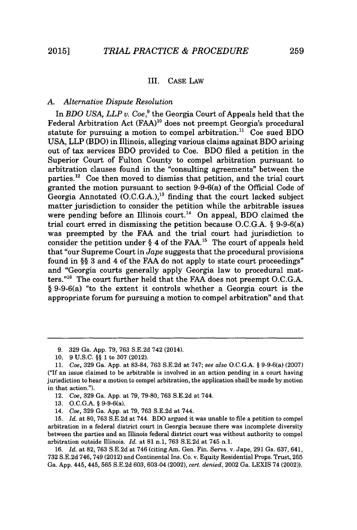# III. **CASE** LAW

# *A. Alternative Dispute Resolution*

In *BDO USA, LLP v. Coe,<sup>9</sup>*the Georgia Court of Appeals held that the Federal Arbitration Act **(FAA)"o** does not preempt Georgia's procedural statute for pursuing a motion to compel arbitration.<sup>11</sup> Coe sued BDO **USA,** LLP (BDO) in Illinois, alleging various claims against BDO arising out of tax services BDO provided to Coe. BDO filed a petition in the Superior Court of Fulton County to compel arbitration pursuant to arbitration clauses found in the "consulting agreements" between the parties.<sup>12</sup> Coe then moved to dismiss that petition, and the trial court granted the motion pursuant to section 9-9-6(a) of the Official Code of Georgia Annotated **(O.C.G.A.),"'** finding that the court lacked subject matter jurisdiction to consider the petition while the arbitrable issues were pending before an Illinois court.<sup>14</sup> On appeal, BDO claimed the trial court erred in dismissing the petition because **O.C.G.A.** *§* 9-9-6(a) was preempted **by** the **FAA** and the trial court had jurisdiction to consider the petition under *§* 4 of the **FAA."** The court of appeals held that "our Supreme Court in *Jape* suggests that the procedural provisions found in *§§* **3** and 4 of the **FAA** do not apply to state court proceedings" and "Georgia courts generally apply Georgia law to procedural matters."<sup>16</sup> The court further held that the FAA does not preempt O.C.G.A. *§* 9-9-6(a) "to the extent it controls whether a Georgia court is the appropriate forum for pursuing a motion to compel arbitration" and that

**15.** *Id.* at **80, 763 S.E.2d** at 744. BDO argued it was unable to file a petition to compel arbitration in a federal district court in Georgia because there was incomplete diversity between the parties and an Illinois federal district court was without authority to compel arbitration outside Illinois. *Id.* at **81** n.1, **763 S.E.2d** at 745 n.1.

**16.** *Id.* at **82, 763 S.E.2d** at 746 (citing Am. Gen. Fin. Servs. v. Jape, **291** Ga. **637,** 641, **732 S.E.2d** 746, 749 (2012) and Continental Ins. Co. v. Equity Residential Props. Trust, **255** Ga. **App.** 445, 445, **565 S.E.2d 603,** 603-04 (2002), *cert. denied,* 2002 Ga. **LEXIS** 74 (2002)).

**<sup>9. 329</sup>** Ga. **App. 79, 763 S.E.2d** 742 (2014).

**<sup>10. 9</sup> U.S.C.** *§§* **1** to **307** (2012).

*<sup>11.</sup> Coe,* **329** Ga. **App.** at **83-84, 763 S.E.2d** at **747;** *see also* **O.C.G.A.** *§* 9-9-6(a) **(2007) ("If** an issue claimed to be arbitrable is involved in an action pending in a court having jurisdiction to hear a motion to compel arbitration, the application shall be made **by** motion in that action.").

<sup>12.</sup> *Coe,* **329** Ga. **App.** at **79, 79-80, 763 S.E.2d** at 744.

**<sup>13.</sup> O.C.G.A.** *§* 9-9-6(a).

*<sup>14.</sup> Coe,* **329** Ga. **App.** at **79, 763 S.E.2d** at 744.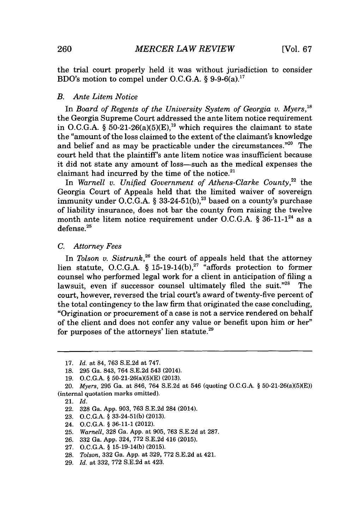the trial court properly held it was without jurisdiction to consider BDO's motion to compel under **O.C.G.A.** *§* 9-9-6(a).1<sup>7</sup>

# *B. Ante Litem Notice*

In *Board of Regents of the University System of Georgia v. Myers,18* the Georgia Supreme Court addressed the ante litem notice requirement in O.C.G.A.  $\S$  50-21-26(a)(5)(E),<sup>19</sup> which requires the claimant to state the "amount of the loss claimed to the extent of the claimant's knowledge and belief and as may be practicable under the circumstances."<sup>20</sup> The court held that the plaintiff's ante litem notice was insufficient because it did not state any amount of loss-such as the medical expenses the claimant had incurred by the time of the notice.<sup>21</sup>

In Warnell v. Unified Government of Athens-Clarke County,<sup>22</sup> the Georgia Court of Appeals held that the limited waiver of sovereign immunity under **O.C.G.A.** *§* **33-24-51(b), <sup>2</sup> '** based on a county's purchase of liability insurance, does not bar the county from raising the twelve month ante litem notice requirement under O.C.G.A. § 36-11-1<sup>24</sup> as a  $defense.<sup>25</sup>$ 

# *C. Attorney Fees*

In *Tolson v. Sistrunk*,<sup>26</sup> the court of appeals held that the attorney lien statute, **O.C.G.A.** *§* **15-19-14(b), <sup>2</sup>7** "affords protection to former counsel who performed legal work for a client in anticipation of filing a lawsuit, even if successor counsel ultimately filed the suit." $28$  The court, however, reversed the trial court's award of twenty-five percent of the total contingency to the law firm that originated the case concluding, "Origination or procurement of a case is not a service rendered on behalf of the client and does not confer any value or benefit upon him or her" for purposes of the attorneys' lien statute. $29$ 

24. **O.C.G.A. § 36-11-1** (2012).

**<sup>17.</sup>** *Id.* at 84, **763 S.E.2d** at **747.**

**<sup>18. 295</sup>** Ga. 843, 764 **S.E.2d** 543 (2014).

**<sup>19.</sup> O.C.G.A. §** 50-21-26(a)(5)(E) **(2013).**

*<sup>20.</sup> Myers,* **295** Ga. at 846, 764 **S.E.2d** at 546 (quoting **O.C.G.A. §** 50-21-26(a)(5)(E)) (internal quotation marks omitted).

<sup>21.</sup> *Id.*

<sup>22.</sup> **328** Ga. **App. 903, 763 S.E.2d** 284 (2014).

**<sup>23.</sup> O.C.G.A. § 33-24-51(b) (2013).**

**<sup>25.</sup>** *Warnell,* **328** Ga. **App.** at **905, 763 S.E.2d** at **287.**

**<sup>26. 332</sup>** Ga. **App.** 324, **772 S.E.2d** 416 **(2015).**

**<sup>27.</sup> O.C.G.A. § 15-19-14(b) (2015).**

**<sup>28.</sup>** *Tolson,* **332** Ga. **App.** at **329, 772 S.E.2d** at 421.

**<sup>29.</sup>** *Id.* at **332, 772 S.E.2d** at 423.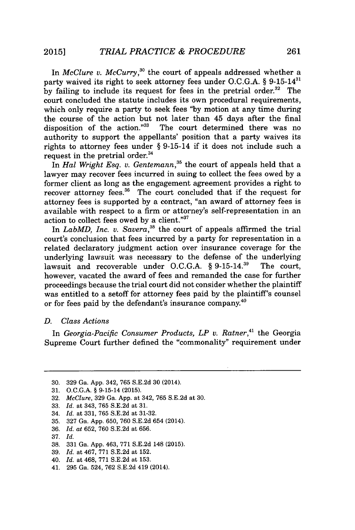In *McClure v. McCurry*,<sup>30</sup> the court of appeals addressed whether a party waived its right to seek attorney fees under O.C.G.A. § 9-15-14<sup>31</sup> by failing to include its request for fees in the pretrial order.<sup>32</sup> The court concluded the statute includes its own procedural requirements, which only require a party to seek fees **"by** motion at any time during the course of the action but not later than 45 days after the final disposition of the action."<sup>33</sup> The court determined there was no authority to support the appellants' position that a party waives its rights to attorney fees under *§* 9-15-14 if it does not include such a request in the pretrial order.<sup>34</sup>

In *Hal Wright Esq. v. Gentemann*,<sup>35</sup> the court of appeals held that a lawyer may recover fees incurred in suing to collect the fees owed **by** a former client as long as the engagement agreement provides a right to recover attorney fees.<sup>36</sup> The court concluded that if the request for attorney fees is supported **by** a contract, "an award of attorney fees is available with respect to a firm or attorney's self-representation in an action to collect fees owed **by** a client."

In *LabMD, Inc. v. Savera*,<sup>38</sup> the court of appeals affirmed the trial court's conclusion that fees incurred **by** a party for representation in a related declaratory judgment action over insurance coverage for the underlying lawsuit was necessary to the defense of the underlying<br>lawsuit and recoverable under O.C.G.A.  $\$  9-15-14.<sup>39</sup> The court. lawsuit and recoverable under O.C.G.A. § 9-15-14.<sup>39</sup> however, vacated the award of fees and remanded the case for further proceedings because the trial court did not consider whether the plaintiff was entitled to a setoff for attorney fees paid **by** the plaintiff's counsel or for fees paid **by** the defendant's insurance company.<sup>40</sup>

### *D. Class Actions*

In Georgia-Pacific Consumer Products, LP v. Ratner,<sup>41</sup> the Georgia Supreme Court further defined the "commonality" requirement under

- **32.** *McClure,* **329** Ga. **App.** at 342, **765 S.E.2d** at **30.**
- **33.** *Id.* at 343, **765 S.E.2d** at **31.**
- 34. *Id.* at **331, 765 S.E.2d** at **31-32.**
- **35. 327** Ga. **App. 650, 760 S.E.2d** 654 (2014).
- **36.** *Id. at* **652, 760 S.E.2d** at **656.**
- **37.** *Id.*
- **38. 331** Ga. **App.** 463, **771 S.E.2d** 148 **(2015).**
- **39.** *Id.* at 467, **771 S.E.2d** at **152.**
- 40. *Id.* at 468, **771 S.E.2d** at **153.**
- 41. **295** Ga. 524, **762 S.E.2d** 419 (2014).

**<sup>30. 329</sup>** Ga. **App.** 342, **765 S.E.2d 30** (2014).

**<sup>31.</sup> O.C.G.A.** *§* 9-15-14 **(2015).**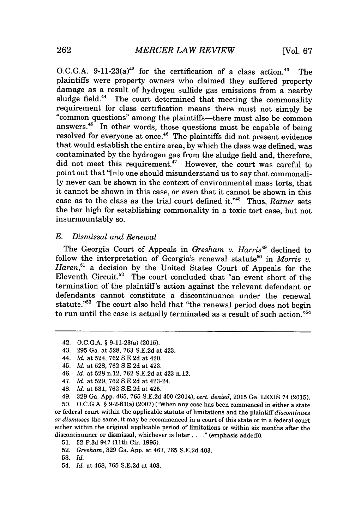O.C.G.A.  $9-11-23(a)^{42}$  for the certification of a class action.<sup>43</sup> The plaintiffs were property owners who claimed they suffered property damage as a result of hydrogen sulfide gas emissions from a nearby sludge field.<sup>44</sup> The court determined that meeting the commonality requirement for class certification means there must not simply be "common questions" among the plaintiffs-there must also be common answers.<sup>45</sup> In other words, those questions must be capable of being resolved for everyone at once.<sup>46</sup> The plaintiffs did not present evidence that would establish the entire area, **by** which the class was defined, was contaminated **by** the hydrogen gas from the sludge field and, therefore, did not meet this requirement.<sup>47</sup> However, the court was careful to point out that "[n]o one should misunderstand us to say that commonality never can be shown in the context of environmental mass torts, that it cannot be shown in this case, or even that it cannot be shown in this case as to the class as the trial court defined it."<sup>48</sup> Thus, *Ratner* sets the bar high for establishing commonality in a toxic tort case, but not insurmountably so.

## *E. Dismissal and Renewal*

The Georgia Court of Appeals in *Gresham v. Harris"* declined to follow the interpretation of Georgia's renewal statute<sup>50</sup> in *Morris v. Haren," a* decision **by** the United States Court of Appeals for the Eleventh Circuit.<sup>52</sup> The court concluded that "an event short of the termination of the plaintiff's action against the relevant defendant or defendants cannot constitute a discontinuance under the renewal statute."<sup>53</sup> The court also held that "the renewal period does not begin to run until the case is actually terminated as a result of such action." $54$ 

- *44. Id.* at 524, **762 S.E.2d** at 420.
- 45. *Id.* at **528, 762 S.E.2d** at 423.
- *46. Id.* at **528** n.12, **762 S.E.2d** at 423 n.12.
- *47. Id.* at **529, 762 S.E.2d** at 423-24.
- 48. *Id.* at **531, 762 S.E.2d** at 425.
- *49.* **329** Ga. **App.** 465, **765 S.E.2d** 400 (2014), *cert. denied,* **2015** Ga. **LEXIS** 74 **(2015).**

**50. O.C.G.A.** *§* 9-2-61(a) **(2007)** ("When *any* case has been commenced in either a state or federal court within the applicable statute of limitations and the plaintiff *discontinues or dismisses* the same, it may be recommenced in a court of this state or in a federal court either within the original applicable period of limitations or within six months after the discontinuance or dismissal, whichever is later...." (emphasis added)).

- **51. 52 F.3d** 947 (11th Cir. **1995).**
- **52.** *Gresham,* **329** Ga. **App.** at 467, **765 S.E.2d** 403.
- **53.** *Id.*
- 54. *Id.* at 468, **765 S.E.2d** at 403.

<sup>42.</sup> **O.C.G.A.** *§* 9-11-23(a) **(2015).**

<sup>43.</sup> **295** Ga. at **528, 763 S.E.2d** at 423.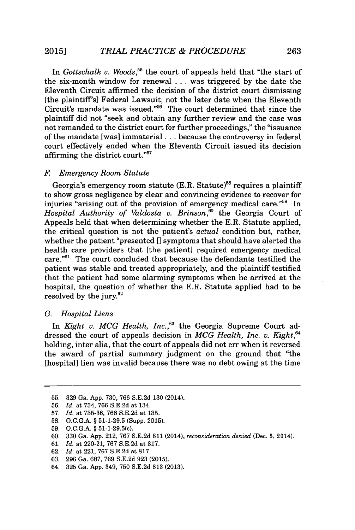In *Gottschalk v. Woods*,<sup>55</sup> the court of appeals held that "the start of the six-month window for renewal **...** was triggered **by** the date the Eleventh Circuit affirmed the decision of the district court dismissing [the plaintiff's] Federal Lawsuit, not the later date when the Eleventh  $Circuit's$  mandate was issued."<sup>56</sup> The court determined that since the plaintiff did not "seek and obtain any further review and the case was not remanded to the district court for further proceedings," the "issuance of the mandate [was] immaterial **. ..** because the controversy in federal court effectively ended when the Eleventh Circuit issued its decision affirming the district court."<sup>57</sup>

### *F Emergency Room Statute*

Georgia's emergency room statute  $(E.R.$  Statute)<sup>58</sup> requires a plaintiff to show gross negligence **by** clear and convincing evidence to recover for injuries "arising out of the provision of emergency medical care."<sup>59</sup> In *Hospital Authority of Valdosta v. Brinson,"o* the Georgia Court of Appeals held that when determining whether the E.R. Statute applied, the critical question is not the patient's *actual* condition but, rather, whether the patient "presented [] symptoms that should have alerted the health care providers that [the patient] required emergency medical care."<sup>6</sup> 1 The court concluded that because the defendants testified the patient was stable and treated appropriately, and the plaintiff testified that the patient had some alarming symptoms when he arrived at the hospital, the question of whether the E.R. Statute applied had to be resolved by the jury. $62$ 

## *G. Hospital Liens*

In *Kight v. MCG Health, Inc.*,<sup>63</sup> the Georgia Supreme Court addressed the court of appeals decision in *MCG Health, Inc. v. Kight,"* holding, inter alia, that the court of appeals did not err when it reversed the award of partial summary judgment on the ground that "the [hospital] lien was invalid because there was no debt owing at the time

**<sup>55. 329</sup>** Ga. **App. 730, 766 S.E.2d 130** (2014).

**<sup>56.</sup>** *Id.* at 734, **766 S.E.2d** at 134.

**<sup>57.</sup>** *Id.* at **735-36, 766 S.E.2d** at **135.**

**<sup>58.</sup> O.C.G.A.** *§* **51-1-29.5** (Supp. 2015).

**<sup>59.</sup> O.C.G.A.** *§* 51-1-29.5(c).

**<sup>60. 330</sup>** Ga. **App.** 212, **767 S.E.2d 811** (2014), *reconsideration denied* (Dec. **5,** 2014).

**<sup>61.</sup>** *Id.* at 220-21, **767 S.E.2d** at **817.**

**<sup>62.</sup>** *Id.* at 221, **767 S.E.2d** at **817.**

**<sup>63. 296</sup>** Ga. **687, 769 S.E.2d 923** (2015).

<sup>64.</sup> **325** Ga. **App.** 349, **750 S.E.2d 813 (2013).**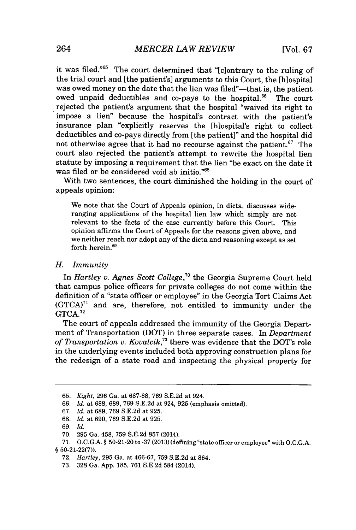it was filed."<sup>65</sup> The court determined that "[c]ontrary to the ruling of the trial court and [the patient's] arguments to this Court, the [h]ospital was owed money on the date that the lien was filed"--that is, the patient owed unpaid deductibles and co-pays to the hospital. $66$  The court rejected the patient's argument that the hospital "waived its right to impose a lien" because the hospital's contract with the patient's insurance plan "explicitly reserves the [h]ospital's right to collect deductibles and co-pays directly from [the patient]" and the hospital did not otherwise agree that it had no recourse against the patient. $67$  The court also rejected the patient's attempt to rewrite the hospital lien statute **by** imposing a requirement that the lien "be exact on the date it was filed or be considered void ab initio."<sup>68</sup>

With two sentences, the court diminished the holding in the court of appeals opinion:

We note that the Court of Appeals opinion, in dicta, discusses wideranging applications of the hospital lien law which simply are not relevant to the facts of the case currently before this Court. This opinion affirms the Court of Appeals for the reasons given above, and we neither reach nor adopt any of the dicta and reasoning except as set forth herein.<sup>69</sup>

# *H. Immunity*

*In Hartley v. Agnes Scott College,7o* the Georgia Supreme Court held that campus police officers for private colleges do not come within the definition of a "state officer or employee" in the Georgia Tort Claims Act (GTCA)<sup>71</sup> and are, therefore, not entitled to immunity under the **GTCA.7 2**

The court of appeals addressed the immunity of the Georgia Department of Transportation (DOT) in three separate cases. In *Department of T-ansportation v. Kovalcik,"* there was evidence that the DOT's role in the underlying events included both approving construction plans for the redesign of a state road and inspecting the physical property for

**68.** *Id.* at **690, 769 S.E.2d** at **925.**

**<sup>65.</sup>** *Kight,* **296** Ga. at **687-88, 769 S.E.2d** at 924.

*<sup>66.</sup> Id.* at **688, 689, 769 S.E.2d** at 924, **925** (emphasis omitted).

**<sup>67.</sup>** *Id.* at **689, 769 S.E.2d** at **925.**

**<sup>69.</sup>** *Id.*

**<sup>70. 295</sup>** Ga. 458, **759 S.E.2d 857** (2014).

**<sup>71.</sup> O.C.G.A. § 50-21-20** to **-37 (2013)** (defining "state officer or employee" with **O.C.G.A. § 50-21-22(7)).**

**<sup>72.</sup>** *Hartley,* **295** Ga. at **466-67, 759 S.E.2d** at 864.

**<sup>73. 328</sup>** Ga. **App. 185, 761 S.E.2d** 584 (2014).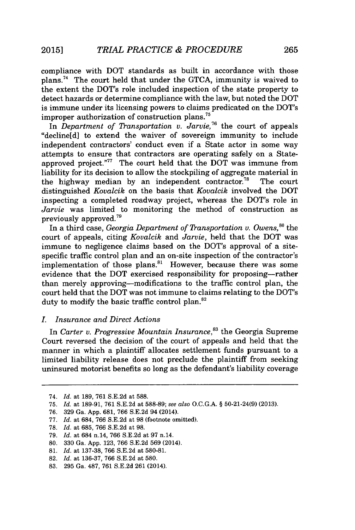compliance with DOT standards as built in accordance with those plans.<sup>74</sup>The court held that under the **GTCA,** immunity is waived to the extent the DOT's role included inspection of the state property to detect hazards or determine compliance with the law, but noted the DOT is immune under its licensing powers to claims predicated on the DOT's improper authorization of construction plans."

In *Department of ransportation v. Jarvie,16* the court of appeals "decline[d] to extend the waiver of sovereign immunity to include independent contractors' conduct even if a State actor in some way attempts to ensure that contractors are operating safely on a Stateapproved project."<sup>77</sup> The court held that the DOT was immune from liability for its decision to allow the stockpiling of aggregate material in the highway median **by** an independent contractor." The court distinguished *Kovalcik* on the basis that *Kovalcik* involved the DOT inspecting a completed roadway project, whereas the DOT's role in *Jarvie* was limited to monitoring the method of construction as previously approved.<sup> $79$ </sup>

In a third case, *Georgia Department of ransportation v. Owens,"o* the court of appeals, citing *Kovalcik and Jarvie,* held that the DOT was immune to negligence claims based on the DOT's approval of a sitespecific traffic control plan and an on-site inspection of the contractor's implementation of those plans. $81$  However, because there was some evidence that the DOT exercised responsibility for proposing-rather than merely approving-modifications to the traffic control plan, the court held that the DOT was not immune to claims relating to the DOT's duty to modify the basic traffic control plan.<sup>82</sup>

# *I. Insurance and Direct Actions*

In *Carter v. Progressive Mountain Insurance*<sup>83</sup> the Georgia Supreme Court reversed the decision of the court of appeals and held that the manner in which a plaintiff allocates settlement funds pursuant to a limited liability release does not preclude the plaintiff from seeking uninsured motorist benefits so long as the defendant's liability coverage

**80. 330** Ga. **App. 123, 766 S.E.2d 569** (2014).

<sup>74.</sup> *Id.* at **189, 761 S.E.2d** at **588.**

**<sup>75.</sup>** *Id.* at **189-91, 761 S.E.2d** at **588-89;** *see also* **O.C.G.A. §** 50-21-24(9) **(2013).**

**<sup>76. 329</sup>** Ga. **App. 681, 766 S.E.2d** 94 (2014).

**<sup>77.</sup>** *Id. at* 684, **766 S.E.2d** at **98** (footnote omitted).

**<sup>78.</sup>** *Id.* at **685, 766 S.E.2d** at **98.**

**<sup>79.</sup>** *Id.* at 684 n.14, **766 S.E.2d** at **97** n.14.

**<sup>81.</sup>** *Id.* at **137-38, 766 S.E.2d** at **580-81.**

**<sup>82.</sup>** *Id.* at **136-37, 766 S.E.2d** at **580.**

**<sup>83. 295</sup>** Ga. **487, 761 S.E.2d 261** (2014).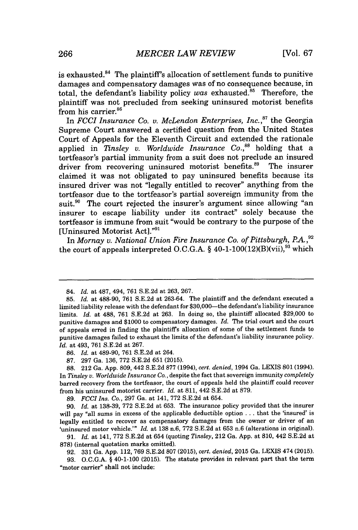is exhausted. $84$  The plaintiff's allocation of settlement funds to punitive damages and compensatory damages was of no consequence because, in total, the defendant's liability policy was exhausted. $85$  Therefore, the plaintiff was not precluded from seeking uninsured motorist benefits from his carrier.<sup>86</sup>

In *FCCI Insurance Co. v. McLendon Enterprises, Inc.*<sup>87</sup> the Georgia Supreme Court answered a certified question from the United States Court of Appeals for the Eleventh Circuit and extended the rationale applied in *Tinsley v. Worldwide Insurance Co.*,<sup>88</sup> holding that a tortfeasor's partial immunity from a suit does not preclude an insured driver from recovering uninsured motorist benefits.<sup>89</sup> The insurer driver from recovering uninsured motorist benefits.<sup>89</sup> claimed it was not obligated to pay uninsured benefits because its insured driver was not "legally entitled to recover" anything from the tortfeasor due to the tortfeasor's partial sovereign immunity from the suit.<sup>90</sup> The court rejected the insurer's argument since allowing "an insurer to escape liability under its contract" solely because the tortfeasor is immune from suit "would be contrary to the purpose of the [Uninsured Motorist Act]."91

In *Mornay v. National Union Fire Insurance Co. of Pittsburgh, P.A.*,<sup>92</sup> the court of appeals interpreted O.C.G.A. § 40-1-100(12)(B)(vii),<sup>93</sup> which

*86. Id.* at 489-90, **761 S.E.2d** at 264.

**87. 297** Ga. **136, 772 S.E.2d 651 (2015).**

**88.** 212 Ga. **App. 809,** 442 **S.E.2d 877** (1994), *cert. denied,* 1994 Ga. LEXIS **801** (1994). In *Tinsley v. Worldwide Insurance Co.,* despite the fact that sovereign immunity *completely* barred recovery from the tortfeasor, the court of appeals held the plaintiff could recover from his uninsured motorist carrier. *Id.* at **811,** 442 **S.E.2d** at **879.**

*89. FCCI Ins. Co.,* **297** Ga. at 141, **772 S.E.2d** at 654.

**90.** *Id.* at 138-39, 772 S.E.2d at 653. The insurance policy provided that the insurer will pay "all sums in excess of the applicable deductible option **.** . **.** that the 'insured' is legally entitled to recover as compensatory damages from the owner or driver of an 'uninsured motor vehicle.'" *Id.* at **138** n.6, **772 S.E.2d** at **653** n.6 (alterations in original).

*91. Id.* at 141, **772 S.E.2d** at 654 (quoting *Tinsley,* 212 Ga. **App.** at **810,** 442 **S.E.2d** at **878)** (internal quotation marks omitted).

**92. 331** Ga. **App.** 112, **769 S.E.2d 807 (2015),** *cert. denied,* **2015** Ga. **LEXIS** 474 **(2015).**

**93.** *O.C.G.A.* **§** 40-1-100 **(2015).** The statute provides in relevant part that the term "motor carrier" shall not include:

<sup>84.</sup> *Id.* at **487,** 494, **761 S.E.2d** at **263, 267.**

**<sup>85.</sup>** *Id.* at **488-90, 761 S.E.2d** at **263-64.** The plaintiff and the defendant executed a limited liability release with the defendant for \$30,000-the defendant's liability insurance limits. *Id.* at **488, 761 S.E.2d** at **263.** In doing so, the plaintiff allocated **\$29,000** to punitive damages and **\$1000** to compensatory damages. *Id.* The trial court and the court of appeals erred in finding the plaintiffs allocation of some of the settlement funds to punitive damages failed to exhaust the limits of the defendant's liability insurance policy. *Id.* at 493, **761 S.E.2d** at **267.**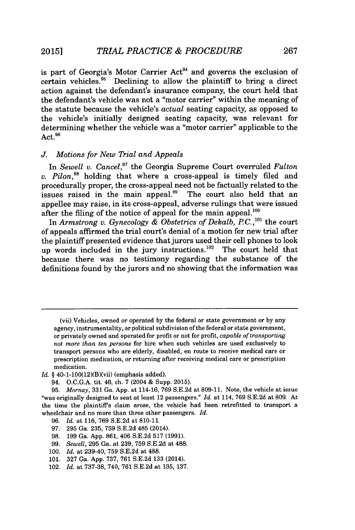is part of Georgia's Motor Carrier  $Act<sup>94</sup>$  and governs the exclusion of certain vehicles." Declining to allow the plaintiff to bring a direct action against the defendant's insurance company, the court held that the defendant's vehicle was not a "motor carrier" within the meaning of the statute because the vehicle's *actual* seating capacity, as opposed to the vehicle's initially designed seating capacity, was relevant for determining whether the vehicle was a "motor carrier" applicable to the Act.<sup>96</sup>

# *J. Motions for New Trial and Appeals*

In *Sewell v. Cancel,"* the Georgia Supreme Court overruled *Fulton v. Pilon*<sup>98</sup> holding that where a cross-appeal is timely filed and procedurally proper, the cross-appeal need not be factually related to the issues raised in the main appeal. $99$  The court also held that an appellee may raise, in its cross-appeal, adverse rulings that were issued after the filing of the notice of appeal for the main appeal. $^{100}$ 

In *Armstrong v. Gynecology & Obstetrics of Dekalb, P.C.*,<sup>101</sup> the court of appeals affirmed the trial court's denial of a motion for new trial after the plaintiff presented evidence that jurors used their cell phones to look up words included in the jury instructions.<sup>102</sup> The court held that because there was no testimony regarding the substance of the definitions found **by** the jurors and no showing that the information was

- *Id. §* 40-1-100(12)(B)(vii) (emphasis added).
	- 94. **O.C.G.A.** tit. 46, ch. **7** (2004 **&** Supp. **2015).**

- **96.** *Id.* at **116, 769 S.E.2d** at **810-11.**
- **97. 295** Ga. **235, 759 S.E.2d** 485 (2014).
- **98. 199** Ga. **App. 861,** 406 **S.E.2d 517 (1991).**
- **99.** *Sewell,* **295** Ga. at **239, 759 S.E.2d** at **488.**
- **100.** *Id.* at 239-40, **759 S.E.2d** at **488.**
- **101. 327** Ga. **App. 737, 761 S.E.2d 133** (2014).
- 102. *Id.* at **737-38,** 740, **761 S.E.2d** at **135, 137.**

<sup>(</sup>vii) Vehicles, owned or operated **by** the federal or state government or **by** any agency, instrumentality, or political subdivision of the federal or state government, or privately owned and operated for profit or not for profit, *capable of transporting* not *more than ten persons* for hire when such vehicles are used exclusively to transport persons who are elderly, disabled, en route to receive medical care or prescription medication, or returning after receiving medical care or prescription medication.

**<sup>95.</sup>** *Mornay,* **331** Ga. **App.** at 114-16, **769 S.E.2d** at **809-11.** Note, the vehicle at issue "was originally designed to seat at least 12 passengers." *Id.* at 114, **769 S.E.2d** at **809.** At the time the plaintiffs claim arose, the vehicle had been retrofitted to transport a wheelchair and no more than three other passengers. *Id.*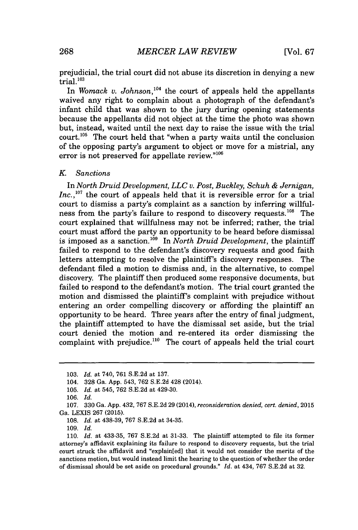prejudicial, the trial court did not abuse its discretion in denying a new  $\tilde{t}$ rial.  $^{103}$ 

In *Womack v. Johnson*,<sup>104</sup> the court of appeals held the appellants waived any right to complain about a photograph of the defendant's infant child that was shown to the jury during opening statements because the appellants did not object at the time the photo was shown but, instead, waited until the next day to raise the issue with the trial court.<sup>105</sup> The court held that "when a party waits until the conclusion" of the opposing party's argument to object or move for a mistrial, any error is not preserved for appellate review." $106$ 

#### *K. Sanctions*

*In North Druid Development, LLC v. Post, Buckley, Schuh & Jernigan, Inc.*,<sup>107</sup> the court of appeals held that it is reversible error for a trial court to dismiss a party's complaint as a sanction **by** inferring willfulness from the party's failure to respond to discovery requests.<sup>108</sup> The court explained that willfulness may not be inferred; rather, the trial court must afford the party an opportunity to be heard before dismissal is imposed as a sanction.<sup>109</sup> In *North Druid Development*, the plaintiff failed to respond to the defendant's discovery requests and good faith letters attempting to resolve the plaintiff's discovery responses. The defendant filed a motion to dismiss and, in the alternative, to compel discovery. The plaintiff then produced some responsive documents, but failed to respond to the defendant's motion. The trial court granted the motion and dismissed the plaintiff's complaint with prejudice without entering an order compelling discovery or affording the plaintiff an opportunity to be heard. Three years after the entry of final judgment, the plaintiff attempted to have the dismissal set aside, but the trial court denied the motion and re-entered its order dismissing the complaint with prejudice.<sup>110</sup> The court of appeals held the trial court

**<sup>103.</sup>** *Id. at* 740, **761 S.E.2d** at **137.**

<sup>104.</sup> **328** Ga. **App.** 543, **762 S.E.2d** 428 (2014).

**<sup>105.</sup>** *Id. at* 545, **762 S.E.2d** at 429-30.

**<sup>106.</sup>** *Id.*

**<sup>107. 330</sup>** Ga. **App.** 432, **767 S.E.2d 29** (2014), *reconsideration denied, cert. denied,* **2015** Ga. **LEXIS 267 (2015).**

**<sup>108.</sup>** *Id. at* **438-39, 767 S.E.2d** at 34-35.

**<sup>109.</sup>** *Id.*

**<sup>110.</sup>** *Id. at* **433-35, 767 S.E.2d** at **31-33.** The plaintiff attempted to file its former attorney's affidavit explaining its failure to respond to discovery requests, but the trial court struck the affidavit and "explain[ed] that it would not consider the merits of the sanctions motion, but would instead limit the hearing to the question of whether the order of dismissal should be set aside on procedural grounds." *Id.* at 434, **767 S.E.2d** at **32.**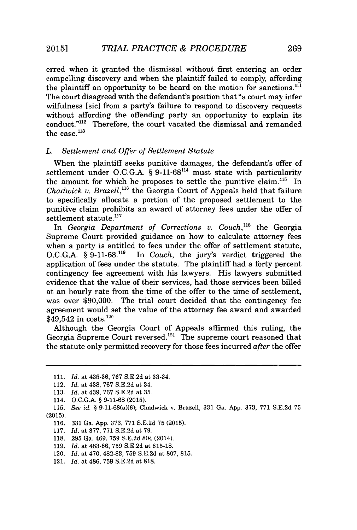erred when it granted the dismissal without first entering an order compelling discovery and when the plaintiff failed to comply, affording the plaintiff an opportunity to be heard on the motion for sanctions.<sup>111</sup> The court disagreed with the defendant's position that "a court may infer wilfulness [sic] from a party's failure to respond to discovery requests without affording the offending party an opportunity to explain its conduct."<sup>112</sup> Therefore, the court vacated the dismissal and remanded the case. $^{113}$ 

## *L. Settlement and Offer of Settlement Statute*

When the plaintiff seeks punitive damages, the defendant's offer of settlement under O.C.G.A. § 9-11-68<sup>114</sup> must state with particularity the amount for which he proposes to settle the punitive claim.<sup>115</sup> In *Chadwick v. Brazell*,<sup>116</sup> the Georgia Court of Appeals held that failure to specifically allocate a portion of the proposed settlement to the punitive claim prohibits an award of attorney fees under the offer of settlement statute.<sup>117</sup>

In *Georgia Department of Corrections v. Couch*,<sup>118</sup> the Georgia Supreme Court provided guidance on how to calculate attorney fees when a party is entitled to fees under the offer of settlement statute,  $O.C.G.A.$  § 9-11-68.<sup>119</sup> In *Couch*, the jury's verdict triggered the In *Couch*, the jury's verdict triggered the application of fees under the statute. The plaintiff had a forty percent contingency fee agreement with his lawyers. His lawyers submitted evidence that the value of their services, had those services been billed at an hourly rate from the time of the offer to the time of settlement, was over **\$90,000.** The trial court decided that the contingency fee agreement would set the value of the attorney fee award and awarded  $$49,542$  in costs.<sup>120</sup>

Although the Georgia Court of Appeals affirmed this ruling, the Georgia Supreme Court reversed.<sup>121</sup> The supreme court reasoned that the statute only permitted recovery for those fees incurred  $after$  the offer

**<sup>111.</sup>** *Id. at* **435-36, 767 S.E.2d** at 33-34.

<sup>112.</sup> *Id. at* 438, **767 S.E.2d** at 34.

**<sup>113.</sup>** *Id. at* 439, **767 S.E.2d** at **35.**

<sup>114.</sup> **O.C.G.A. § 9-11-68 (2015).**

**<sup>115.</sup>** *See id.* **§** 9-11-68(a)(6); Chadwick v. Brazell, **331** Ga. **App. 373, 771 S.E.2d 75 (2015).**

**<sup>116. 331</sup>** Ga. **App. 373, 771 S.E.2d 75 (2015).**

**<sup>117.</sup>** *Id.* at **377, 771 S.E.2d** at **79.**

**<sup>118. 295</sup>** Ga. 469, **759 S.E.2d** 804 (2014).

**<sup>119.</sup>** *Id.* at **483-86, 759 S.E.2d** at **815-18.**

<sup>120.</sup> *Id.* at 470, **482-83, 759 S.E.2d** at **807, 815.**

<sup>121.</sup> *Id.* at 486, **759 S.E.2d** at **818.**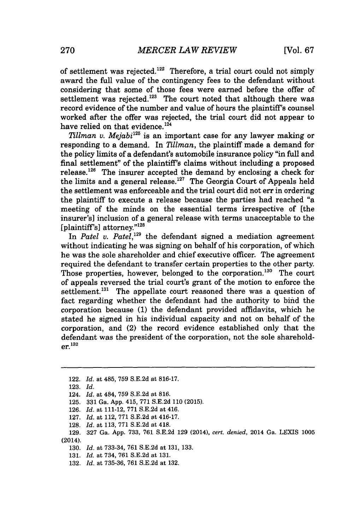of settlement was rejected. $122$  Therefore, a trial court could not simply award the full value of the contingency fees to the defendant without considering that some of those fees were earned before the offer of settlement was rejected.<sup>123</sup> The court noted that although there was record evidence of the number and value of hours the plaintiff's counsel worked after the offer was rejected, the trial court did not appear to have relied on that evidence.<sup>124</sup>

*Tillman v. Mejabi*<sup>125</sup> is an important case for any lawyer making or responding to a demand. In *2111man,* the plaintiff made a demand for the policy limits of a defendant's automobile insurance policy "in full and final settlement" of the plaintiff's claims without including a proposed release.<sup>126</sup> The insurer accepted the demand by enclosing a check for the limits and a general release.<sup>127</sup> The Georgia Court of Appeals held the settlement was enforceable and the trial court did not err in ordering the plaintiff to execute a release because the parties had reached "a meeting of the minds on the essential terms irrespective of [the insurer's] inclusion of a general release with terms unacceptable to the [plaintiff's] attorney."<sup>128</sup>

In *Patel v. Patel*,<sup>129</sup> the defendant signed a mediation agreement without indicating he was signing on behalf of his corporation, of which he was the sole shareholder and chief executive officer. The agreement required the defendant to transfer certain properties to the other party. Those properties, however, belonged to the corporation.<sup>130</sup> The court of appeals reversed the trial court's grant of the motion to enforce the settlement. $131$  The appellate court reasoned there was a question of fact regarding whether the defendant had the authority to bind the corporation because **(1)** the defendant provided affidavits, which he stated he signed in his individual capacity and not on behalf of the corporation, and (2) the record evidence established only that the defendant was the president of the corporation, not the sole sharehold**er.1<sup>3</sup> <sup>2</sup>**

- **125. 331** Ga. **App.** 415, **771 S.E.2d 110 (2015).**
- **126.** *Id. at* 111-12, **771 S.E.2d** at 416.
- **127.** *Id. at* 112, **771 S.E.2d** at 416-17.
- **128.** *Id. at* **113, 771 S.E.2d** at 418.

- **130.** *Id. at* **733-34, 761 S.E.2d** at **131, 133.**
- **131.** *Id. at* 734, **761 S.E.2d** at **131.**
- **132.** *Id. at* **735-36, 761 S.E.2d** at **132.**

<sup>122.</sup> *Id. at* 485, **759 S.E.2d** *at* **816-17.**

**<sup>123.</sup>** *Id.*

<sup>124.</sup> *Id. at* 484, **759 S.E.2d** *at* **816.**

**<sup>129. 327</sup>** Ga. **App. 733, 761 S.E.2d 129** (2014), *cert. denied,* 2014 Ga. LEXIS **1005** (2014).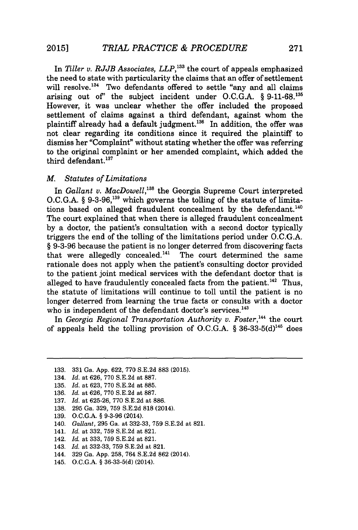In *Tiller v. RJJB Associates, LLP,'3 3* the court of appeals emphasized the need to state with particularity the claims that an offer of settlement will resolve.<sup>134</sup> Two defendants offered to settle "any and all claims arising out of' the subject incident under **O.C.G.A.** *§* **9-11-68.'a** However, it was unclear whether the offer included the proposed settlement of claims against a third defendant, against whom the plaintiff already had a default judgment.<sup>136</sup> In addition, the offer was not clear regarding its conditions since it required the plaintiff to dismiss her "Complaint" without stating whether the offer was referring to the original complaint or her amended complaint, which added the third defendant.<sup>137</sup>

# *M. Statutes of Limitations*

In *Gallant v. MacDowell*,<sup>138</sup> the Georgia Supreme Court interpreted **O.C.G.A.** *§* **9-3-96,1as** which governs the tolling of the statute of limitations based on alleged fraudulent concealment by the defendant.<sup>140</sup> The court explained that when there is alleged fraudulent concealment **by** a doctor, the patient's consultation with a second doctor typically triggers the end of the tolling of the limitations period under **O.C.G.A.** *§* **9-3-96** because the patient is no longer deterred from discovering facts that were allegedly concealed. $141$  The court determined the same rationale does not apply when the patient's consulting doctor provided to the patient joint medical services with the defendant doctor that is alleged to have fraudulently concealed facts from the patient.<sup>142</sup> Thus, the statute of limitations will continue to toll until the patient is no longer deterred from learning the true facts or consults with a doctor who is independent of the defendant doctor's services.<sup>143</sup>

In *Georgia Regional Transportation Authority v. Foster*,<sup>144</sup> the court of appeals held the tolling provision of O.C.G.A.  $§ 36-33-5(d)^{145}$  does

- **135.** *Id.* at **623, 770 S.E.2d** at **885.**
- **136.** *Id.* at **626, 770 S.E.2d** at **887.**
- **137.** *Id.* at **625-26, 770 S.E.2d** at **886.**
- **138. 295** Ga. **329, 759 S.E.2d 818** (2014).
- **139. O.C.G.A.** *§* **9-3-96** (2014).
- 140. *Gallant,* **295** Ga. at **332-33, 759 S.E.2d** at **821.**
- 141. *Id.* at **332, 759 S.E.2d** at **821.**
- 142. *Id.* at **333, 759 S.E.2d** at **821.**
- 143. *Id.* at **332-33, 759 S.E.2d** at **821.**
- 144. **329** Ga. **App. 258,** 764 **S.E.2d 862** (2014).
- 145. **O.C.G.A.** *§* **36-33-5(d)** (2014).

**<sup>133. 331</sup>** Ga. **App. 622, 770 S.E.2d 883 (2015).**

<sup>134.</sup> *Id.* at **626, 770 S.E.2d** at **887.**